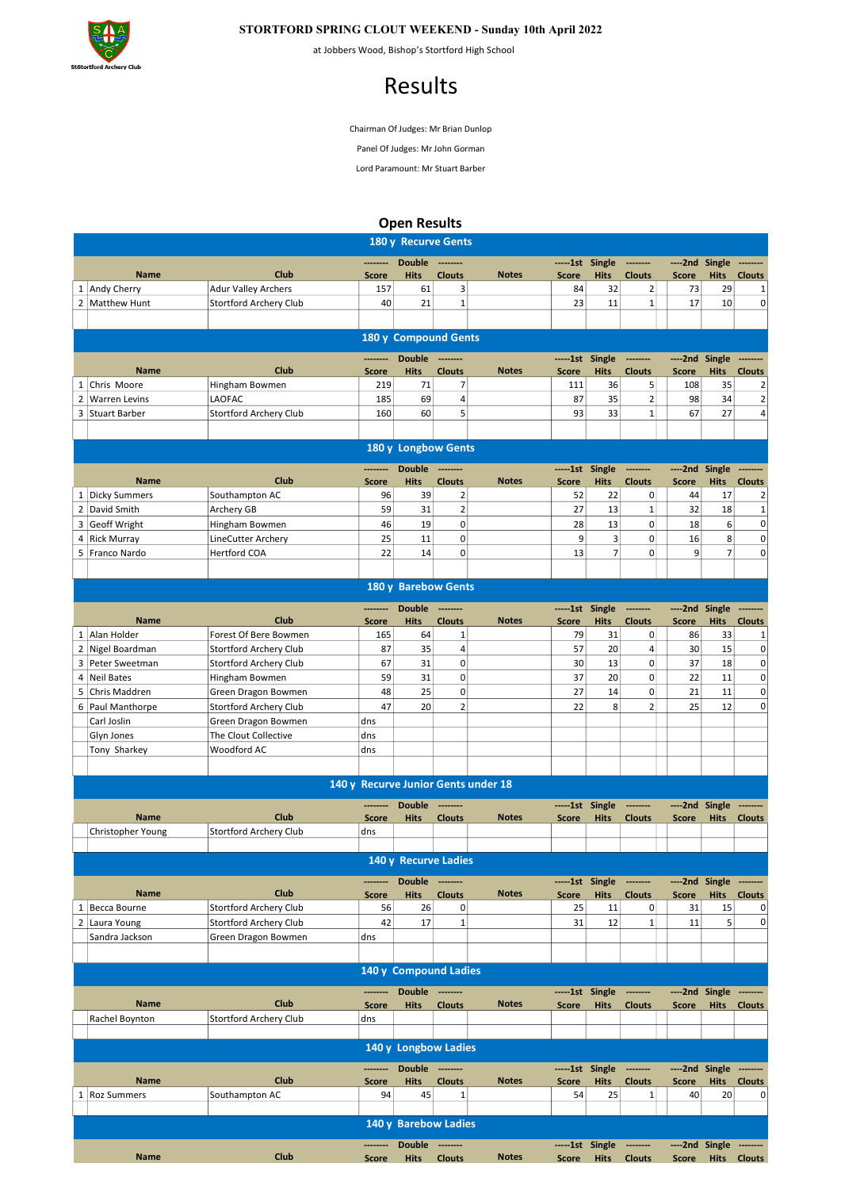

## STORTFORD SPRING CLOUT WEEKEND - Sunday 10th April 2022

at Jobbers Wood, Bishop's Stortford High School

## Results

Chairman Of Judges: Mr Brian Dunlop

Panel Of Judges: Mr John Gorman

Lord Paramount: Mr Stuart Barber

Open Results

| 180 y Recurve Gents                                                                      |                                                               |                               |                          |                      |                                 |                                     |                    |                   |                            |                    |                               |                                 |
|------------------------------------------------------------------------------------------|---------------------------------------------------------------|-------------------------------|--------------------------|----------------------|---------------------------------|-------------------------------------|--------------------|-------------------|----------------------------|--------------------|-------------------------------|---------------------------------|
|                                                                                          |                                                               |                               | --------                 | <b>Double</b>        | ---------                       |                                     |                    | -----1st Single   | --------                   | ----2nd Single     |                               | --------                        |
|                                                                                          | <b>Name</b>                                                   | Club                          | <b>Score</b>             | <b>Hits</b>          | <b>Clouts</b>                   | <b>Notes</b>                        | <b>Score</b>       | <b>Hits</b>       | <b>Clouts</b>              | <b>Score</b>       | <b>Hits</b>                   | <b>Clouts</b>                   |
|                                                                                          | 1 Andy Cherry                                                 | <b>Adur Valley Archers</b>    | 157                      | 61                   | 3                               |                                     | 84                 | 32                | 2                          | 73                 | 29                            | 1                               |
|                                                                                          | 2 Matthew Hunt                                                | <b>Stortford Archery Club</b> | 40                       | 21                   | $\mathbf{1}$                    |                                     | 23                 | 11                | $\mathbf{1}$               | 17                 | 10                            | 0                               |
|                                                                                          |                                                               |                               |                          |                      |                                 |                                     |                    |                   |                            |                    |                               |                                 |
|                                                                                          |                                                               |                               |                          | 180 y Compound Gents |                                 |                                     |                    |                   |                            |                    |                               |                                 |
|                                                                                          |                                                               |                               |                          | <b>Double</b>        |                                 |                                     | ------1st          | Single            | --------                   | ----2nd            | Single                        |                                 |
|                                                                                          | <b>Name</b>                                                   | Club                          | <b>Score</b>             | <b>Hits</b>          | <b>Clouts</b>                   | <b>Notes</b>                        | <b>Score</b>       | <b>Hits</b>       | <b>Clouts</b>              | <b>Score</b>       | <b>Hits</b>                   | <b>Clouts</b>                   |
|                                                                                          | 1 Chris Moore                                                 | Hingham Bowmen                | 219                      | 71                   | 7                               |                                     | 111                | 36                | 5 <sup>1</sup>             | 108                | 35                            | 2                               |
|                                                                                          | 2 Warren Levins                                               | LAOFAC                        | 185                      | 69                   | 4                               |                                     | 87                 | 35                | $\overline{2}$             | 98                 | 34                            | $\overline{2}$                  |
|                                                                                          | 3 Stuart Barber                                               | Stortford Archery Club        | 160                      | 60                   | 5                               |                                     | 93                 | 33                | $\mathbf{1}$               | 67                 | 27                            | 4                               |
|                                                                                          |                                                               |                               |                          |                      |                                 |                                     |                    |                   |                            |                    |                               |                                 |
|                                                                                          | 180 y Longbow Gents                                           |                               |                          |                      |                                 |                                     |                    |                   |                            |                    |                               |                                 |
|                                                                                          |                                                               | Club                          | ---------                | <b>Double</b>        | ---------                       |                                     | -----1st Single    |                   | --------                   | ----2nd Single     |                               |                                 |
|                                                                                          | <b>Name</b><br>1 Dicky Summers                                | Southampton AC                | <b>Score</b><br>96       | <b>Hits</b><br>39    | <b>Clouts</b><br>$\overline{2}$ | <b>Notes</b>                        | <b>Score</b><br>52 | <b>Hits</b><br>22 | <b>Clouts</b><br> 0        | <b>Score</b><br>44 | <b>Hits</b><br>17             | <b>Clouts</b><br>$\overline{2}$ |
|                                                                                          |                                                               |                               |                          |                      |                                 |                                     |                    |                   |                            |                    |                               |                                 |
|                                                                                          | 2 David Smith                                                 | Archery GB                    | 59                       | 31                   | $\overline{2}$                  |                                     | 27                 | 13                | 1                          | 32                 | 18                            | 1                               |
|                                                                                          | 3 Geoff Wright                                                | Hingham Bowmen                | 46                       | 19                   | 0                               |                                     | 28                 | 13                | $\mathbf 0$                | 18                 | 6                             | $\mathbf 0$                     |
|                                                                                          | 4 Rick Murray                                                 | <b>LineCutter Archery</b>     | 25                       | 11                   | 0                               |                                     | 9                  | 3                 | $\mathbf 0$                | 16                 | 8                             | 0                               |
|                                                                                          | 5 Franco Nardo                                                | Hertford COA                  | 22                       | 14                   | $\overline{0}$                  |                                     | 13                 | $\overline{7}$    | $\mathbf 0$                | 9                  | $\overline{7}$                | 0                               |
|                                                                                          |                                                               |                               |                          | 180 y Barebow Gents  |                                 |                                     |                    |                   |                            |                    |                               |                                 |
|                                                                                          |                                                               |                               |                          |                      |                                 |                                     |                    |                   |                            |                    |                               |                                 |
|                                                                                          |                                                               |                               | ---------                | <b>Double</b>        | ---------                       |                                     | -----1st Single    |                   | --------                   | ----2nd Single     |                               | --------                        |
|                                                                                          | <b>Name</b><br>1 Alan Holder                                  | Club                          | <b>Score</b>             | <b>Hits</b>          | <b>Clouts</b>                   | <b>Notes</b>                        | <b>Score</b>       | <b>Hits</b>       | <b>Clouts</b>              | <b>Score</b>       | <b>Hits</b>                   | <b>Clouts</b>                   |
|                                                                                          |                                                               | Forest Of Bere Bowmen         | 165                      | 64                   | 1                               |                                     | 79                 | 31                | 0                          | 86                 | 33                            | 1                               |
| $\overline{2}$                                                                           | Nigel Boardman                                                | Stortford Archery Club        | 87                       | 35                   | $\overline{4}$                  |                                     | 57                 | 20                | 4                          | 30                 | 15                            | 0                               |
|                                                                                          | 3 Peter Sweetman                                              | Stortford Archery Club        | 67                       | 31                   | $\mathbf 0$                     |                                     | 30                 | 13                | 0                          | 37                 | 18                            | 0                               |
|                                                                                          | 4 Neil Bates                                                  | Hingham Bowmen                | 59                       | 31                   | 0                               |                                     | 37                 | 20                | 0                          | 22                 | 11                            | 0                               |
| 5                                                                                        | Chris Maddren                                                 | Green Dragon Bowmen           | 48                       | 25                   | $\overline{0}$                  |                                     | 27                 | 14                | $\mathbf 0$                | 21                 | 11                            | 0                               |
|                                                                                          | 6 Paul Manthorpe                                              | Stortford Archery Club        | 47                       | 20                   | $\overline{2}$                  |                                     | 22                 | 8                 | $\overline{2}$             | 25                 | 12                            | 0                               |
|                                                                                          | Carl Joslin                                                   | Green Dragon Bowmen           | dns                      |                      |                                 |                                     |                    |                   |                            |                    |                               |                                 |
|                                                                                          | Glyn Jones                                                    | The Clout Collective          | dns                      |                      |                                 |                                     |                    |                   |                            |                    |                               |                                 |
|                                                                                          | Tony Sharkey                                                  | Woodford AC                   | dns                      |                      |                                 |                                     |                    |                   |                            |                    |                               |                                 |
|                                                                                          |                                                               |                               |                          |                      |                                 | 140 y Recurve Junior Gents under 18 |                    |                   |                            |                    |                               |                                 |
|                                                                                          |                                                               |                               |                          |                      |                                 |                                     |                    |                   |                            |                    |                               |                                 |
|                                                                                          |                                                               | Club                          | --------                 | <b>Double</b>        | ---------                       |                                     |                    | -----1st Single   | --------                   | ----2nd Single     |                               |                                 |
|                                                                                          | <b>Name</b><br>Christopher Young                              | Stortford Archery Club        | <b>Score</b><br>dns      | <b>Hits</b>          | <b>Clouts</b>                   | <b>Notes</b>                        | <b>Score</b>       | <b>Hits</b>       | <b>Clouts</b>              | Score              | <b>Hits</b>                   | <b>Clouts</b>                   |
|                                                                                          |                                                               |                               |                          |                      |                                 |                                     |                    |                   |                            |                    |                               |                                 |
|                                                                                          |                                                               |                               |                          | 140 y Recurve Ladies |                                 |                                     |                    |                   |                            |                    |                               |                                 |
|                                                                                          |                                                               |                               | --------                 | Double --------      |                                 |                                     |                    | -----1st Single   | --------                   |                    |                               | --------                        |
|                                                                                          | <b>Name</b>                                                   | Club                          | <b>Score</b>             | <b>Hits</b>          | <b>Clouts</b>                   | <b>Notes</b>                        | <b>Score</b>       | <b>Hits</b>       | <b>Clouts</b>              | <b>Score</b>       | ----2nd Single<br><b>Hits</b> | <b>Clouts</b>                   |
|                                                                                          | 1 Becca Bourne                                                | Stortford Archery Club        | 56                       | 26                   | $\mathbf 0$                     |                                     | 25                 | 11                | 0                          | 31                 | 15                            | 0                               |
|                                                                                          | 2 Laura Young                                                 | <b>Stortford Archery Club</b> | 42                       | 17                   | $\mathbf{1}$                    |                                     | 31                 | 12                | $1\vert$                   | 11                 | 5                             | $\overline{0}$                  |
|                                                                                          | Sandra Jackson                                                | Green Dragon Bowmen           | dns                      |                      |                                 |                                     |                    |                   |                            |                    |                               |                                 |
|                                                                                          |                                                               |                               |                          |                      |                                 |                                     |                    |                   |                            |                    |                               |                                 |
| 140 y Compound Ladies                                                                    |                                                               |                               |                          |                      |                                 |                                     |                    |                   |                            |                    |                               |                                 |
| Double --------<br>-----1st Single<br>----2nd Single<br>--------<br>--------<br>-------- |                                                               |                               |                          |                      |                                 |                                     |                    |                   |                            |                    |                               |                                 |
|                                                                                          | <b>Name</b>                                                   | Club                          | <b>Score</b>             | <b>Hits</b>          | <b>Clouts</b>                   | <b>Notes</b>                        | <b>Score</b>       | <b>Hits</b>       | <b>Clouts</b>              | <b>Score</b>       | <b>Hits</b>                   | <b>Clouts</b>                   |
|                                                                                          | Rachel Boynton                                                | Stortford Archery Club        | dns                      |                      |                                 |                                     |                    |                   |                            |                    |                               |                                 |
| 140 y Longbow Ladies                                                                     |                                                               |                               |                          |                      |                                 |                                     |                    |                   |                            |                    |                               |                                 |
|                                                                                          | Double --------<br>-----1st Single<br>----2nd Single -------- |                               |                          |                      |                                 |                                     |                    |                   |                            |                    |                               |                                 |
|                                                                                          | <b>Name</b>                                                   | Club                          | --------<br><b>Score</b> | <b>Hits</b>          | <b>Clouts</b>                   | <b>Notes</b>                        | <b>Score</b>       | <b>Hits</b>       | ---------<br><b>Clouts</b> | <b>Score</b>       | <b>Hits</b>                   | <b>Clouts</b>                   |
|                                                                                          | 1   Roz Summers                                               | Southampton AC                | 94                       | 45                   | $\mathbf{1}$                    |                                     | 54                 | 25                | $1\vert$                   | 40                 | 20                            | 0                               |
|                                                                                          |                                                               |                               |                          |                      |                                 |                                     |                    |                   |                            |                    |                               |                                 |
|                                                                                          |                                                               |                               |                          | 140 y Barebow Ladies |                                 |                                     |                    |                   |                            |                    |                               |                                 |
|                                                                                          |                                                               |                               | --------                 | Double --------      |                                 |                                     |                    | -----1st Single   | ---------                  |                    | ----2nd Single --------       |                                 |
|                                                                                          | <b>Name</b>                                                   | Club                          | <b>Score</b>             | <b>Hits</b>          | <b>Clouts</b>                   | <b>Notes</b>                        | Score              | <b>Hits</b>       | <b>Clouts</b>              | Score              |                               | Hits Clouts                     |